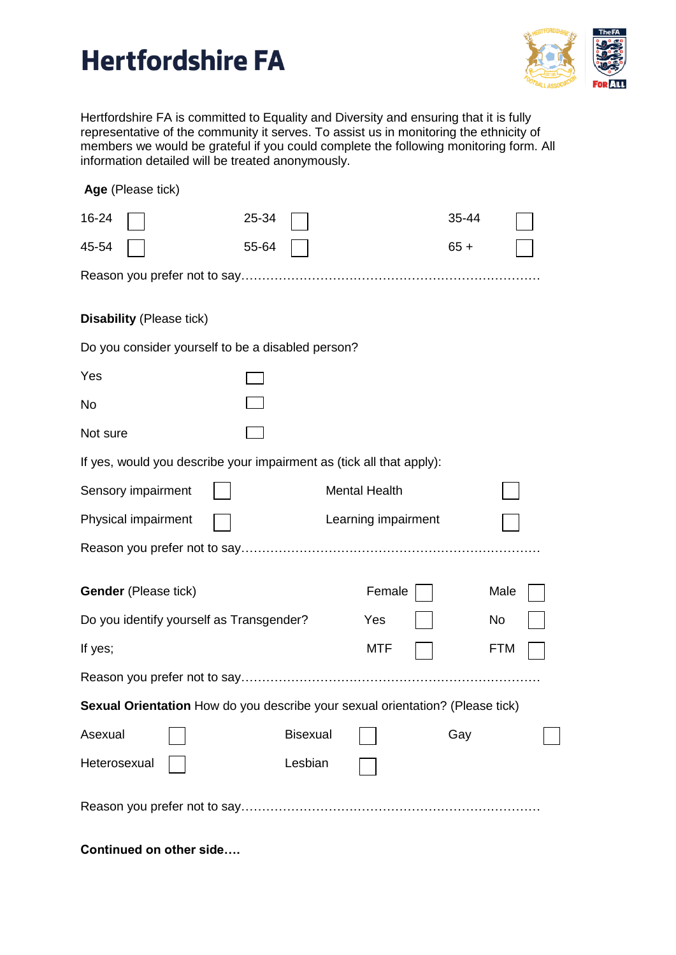## **Hertfordshire FA**



Hertfordshire FA is committed to Equality and Diversity and ensuring that it is fully representative of the community it serves. To assist us in monitoring the ethnicity of members we would be grateful if you could complete the following monitoring form. All information detailed will be treated anonymously.

| Age (Please tick)                                                             |                     |                 |                      |  |        |            |  |
|-------------------------------------------------------------------------------|---------------------|-----------------|----------------------|--|--------|------------|--|
| 16-24                                                                         | 25-34               |                 |                      |  | 35-44  |            |  |
| 45-54                                                                         | 55-64               |                 |                      |  | $65 +$ |            |  |
|                                                                               |                     |                 |                      |  |        |            |  |
| <b>Disability (Please tick)</b>                                               |                     |                 |                      |  |        |            |  |
| Do you consider yourself to be a disabled person?                             |                     |                 |                      |  |        |            |  |
| Yes                                                                           |                     |                 |                      |  |        |            |  |
| No                                                                            |                     |                 |                      |  |        |            |  |
| Not sure                                                                      |                     |                 |                      |  |        |            |  |
| If yes, would you describe your impairment as (tick all that apply):          |                     |                 |                      |  |        |            |  |
| Sensory impairment                                                            |                     |                 | <b>Mental Health</b> |  |        |            |  |
| Physical impairment                                                           | Learning impairment |                 |                      |  |        |            |  |
|                                                                               |                     |                 |                      |  |        |            |  |
| Gender (Please tick)                                                          |                     |                 | Female               |  |        | Male       |  |
|                                                                               |                     |                 |                      |  |        |            |  |
| Do you identify yourself as Transgender?                                      |                     |                 | Yes                  |  |        | No         |  |
| If yes;                                                                       |                     |                 | <b>MTF</b>           |  |        | <b>FTM</b> |  |
|                                                                               |                     |                 |                      |  |        |            |  |
| Sexual Orientation How do you describe your sexual orientation? (Please tick) |                     |                 |                      |  |        |            |  |
| Asexual                                                                       |                     | <b>Bisexual</b> |                      |  | Gay    |            |  |
| Heterosexual                                                                  |                     | Lesbian         |                      |  |        |            |  |
|                                                                               |                     |                 |                      |  |        |            |  |
| Continued on other side                                                       |                     |                 |                      |  |        |            |  |